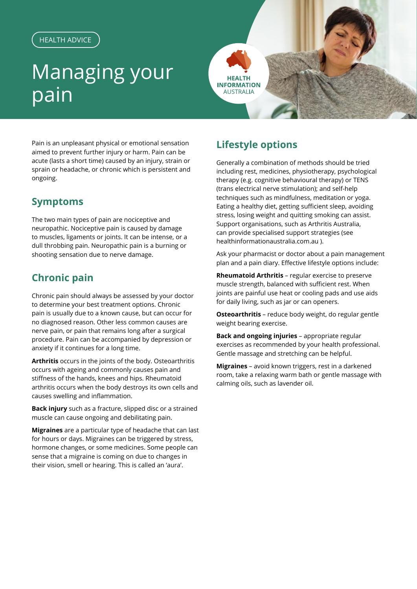#### HEALTH ADVICE

# Managing your pain



Pain is an unpleasant physical or emotional sensation aimed to prevent further injury or harm. Pain can be acute (lasts a short time) caused by an injury, strain or sprain or headache, or chronic which is persistent and ongoing.

### **Symptoms**

The two main types of pain are nociceptive and neuropathic. Nociceptive pain is caused by damage to muscles, ligaments or joints. It can be intense, or a dull throbbing pain. Neuropathic pain is a burning or shooting sensation due to nerve damage.

## **Chronic pain**

Chronic pain should always be assessed by your doctor to determine your best treatment options. Chronic pain is usually due to a known cause, but can occur for no diagnosed reason. Other less common causes are nerve pain, or pain that remains long after a surgical procedure. Pain can be accompanied by depression or anxiety if it continues for a long time.

**Arthritis** occurs in the joints of the body. Osteoarthritis occurs with ageing and commonly causes pain and stiffness of the hands, knees and hips. Rheumatoid arthritis occurs when the body destroys its own cells and causes swelling and inflammation.

**Back injury** such as a fracture, slipped disc or a strained muscle can cause ongoing and debilitating pain.

**Migraines** are a particular type of headache that can last for hours or days. Migraines can be triggered by stress, hormone changes, or some medicines. Some people can sense that a migraine is coming on due to changes in their vision, smell or hearing. This is called an 'aura'.

# **Lifestyle options**

Generally a combination of methods should be tried including rest, medicines, physiotherapy, psychological therapy (e.g. cognitive behavioural therapy) or TENS (trans electrical nerve stimulation); and self-help techniques such as mindfulness, meditation or yoga. Eating a healthy diet, getting sufficient sleep, avoiding stress, losing weight and quitting smoking can assist. Support organisations, such as Arthritis Australia, can provide specialised support strategies (see healthinformationaustralia.com.au ).

Ask your pharmacist or doctor about a pain management plan and a pain diary. Effective lifestyle options include:

**Rheumatoid Arthritis** – regular exercise to preserve muscle strength, balanced with sufficient rest. When joints are painful use heat or cooling pads and use aids for daily living, such as jar or can openers.

**Osteoarthritis** – reduce body weight, do regular gentle weight bearing exercise.

**Back and ongoing injuries** – appropriate regular exercises as recommended by your health professional. Gentle massage and stretching can be helpful.

**Migraines** – avoid known triggers, rest in a darkened room, take a relaxing warm bath or gentle massage with calming oils, such as lavender oil.